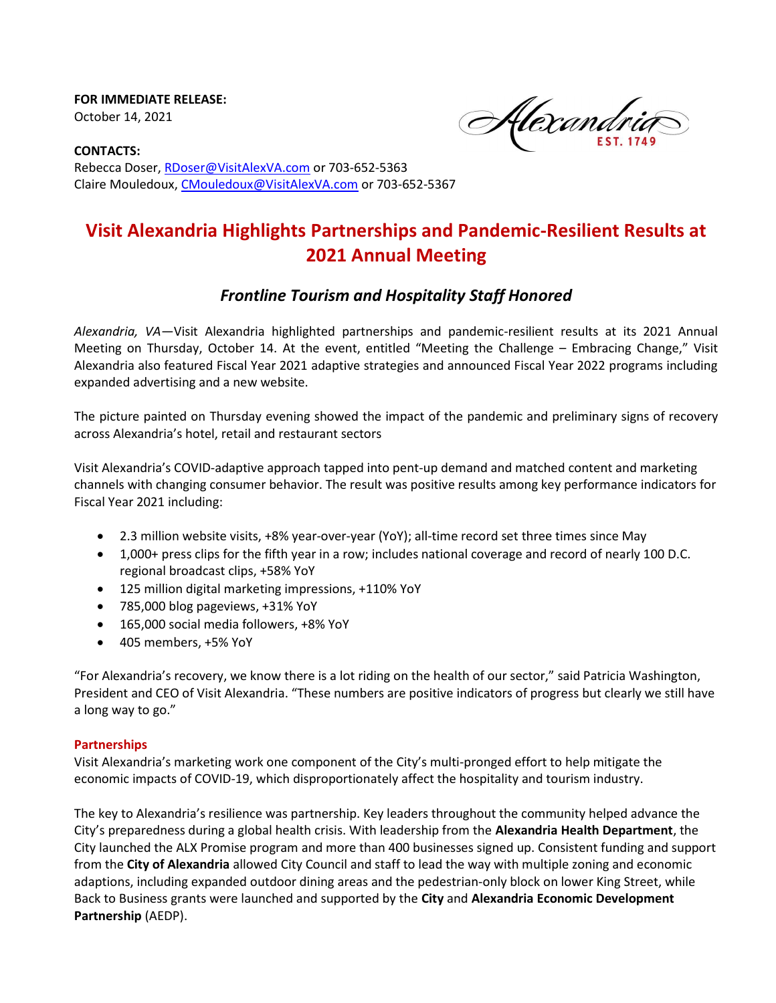FOR IMMEDIATE RELEASE: October 14, 2021

Alexandri

CONTACTS: Rebecca Doser, RDoser@VisitAlexVA.com or 703-652-5363 Claire Mouledoux, CMouledoux@VisitAlexVA.com or 703-652-5367

# Visit Alexandria Highlights Partnerships and Pandemic-Resilient Results at 2021 Annual Meeting

# Frontline Tourism and Hospitality Staff Honored

Alexandria, VA—Visit Alexandria highlighted partnerships and pandemic-resilient results at its 2021 Annual Meeting on Thursday, October 14. At the event, entitled "Meeting the Challenge – Embracing Change," Visit Alexandria also featured Fiscal Year 2021 adaptive strategies and announced Fiscal Year 2022 programs including expanded advertising and a new website.

The picture painted on Thursday evening showed the impact of the pandemic and preliminary signs of recovery across Alexandria's hotel, retail and restaurant sectors

Visit Alexandria's COVID-adaptive approach tapped into pent-up demand and matched content and marketing channels with changing consumer behavior. The result was positive results among key performance indicators for Fiscal Year 2021 including:

- 2.3 million website visits, +8% year-over-year (YoY); all-time record set three times since May
- 1,000+ press clips for the fifth year in a row; includes national coverage and record of nearly 100 D.C. regional broadcast clips, +58% YoY
- 125 million digital marketing impressions, +110% YoY
- 785,000 blog pageviews, +31% YoY
- 165,000 social media followers, +8% YoY
- 405 members, +5% YoY

"For Alexandria's recovery, we know there is a lot riding on the health of our sector," said Patricia Washington, President and CEO of Visit Alexandria. "These numbers are positive indicators of progress but clearly we still have a long way to go."

# **Partnerships**

Visit Alexandria's marketing work one component of the City's multi-pronged effort to help mitigate the economic impacts of COVID-19, which disproportionately affect the hospitality and tourism industry.

The key to Alexandria's resilience was partnership. Key leaders throughout the community helped advance the City's preparedness during a global health crisis. With leadership from the Alexandria Health Department, the City launched the ALX Promise program and more than 400 businesses signed up. Consistent funding and support from the City of Alexandria allowed City Council and staff to lead the way with multiple zoning and economic adaptions, including expanded outdoor dining areas and the pedestrian-only block on lower King Street, while Back to Business grants were launched and supported by the City and Alexandria Economic Development Partnership (AEDP).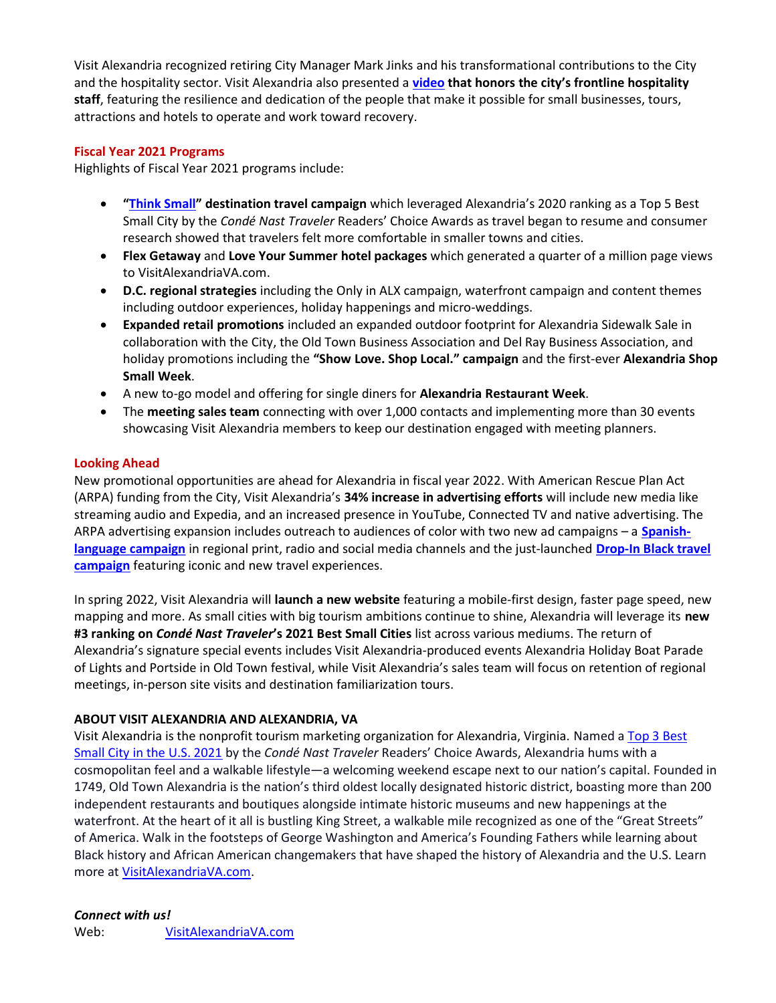Visit Alexandria recognized retiring City Manager Mark Jinks and his transformational contributions to the City and the hospitality sector. Visit Alexandria also presented a video that honors the city's frontline hospitality staff, featuring the resilience and dedication of the people that make it possible for small businesses, tours, attractions and hotels to operate and work toward recovery.

#### Fiscal Year 2021 Programs

Highlights of Fiscal Year 2021 programs include:

- "Think Small" destination travel campaign which leveraged Alexandria's 2020 ranking as a Top 5 Best Small City by the Condé Nast Traveler Readers' Choice Awards as travel began to resume and consumer research showed that travelers felt more comfortable in smaller towns and cities.
- Flex Getaway and Love Your Summer hotel packages which generated a quarter of a million page views to VisitAlexandriaVA.com.
- D.C. regional strategies including the Only in ALX campaign, waterfront campaign and content themes including outdoor experiences, holiday happenings and micro-weddings.
- Expanded retail promotions included an expanded outdoor footprint for Alexandria Sidewalk Sale in collaboration with the City, the Old Town Business Association and Del Ray Business Association, and holiday promotions including the "Show Love. Shop Local." campaign and the first-ever Alexandria Shop Small Week.
- A new to-go model and offering for single diners for Alexandria Restaurant Week.
- The meeting sales team connecting with over 1,000 contacts and implementing more than 30 events showcasing Visit Alexandria members to keep our destination engaged with meeting planners.

#### Looking Ahead

New promotional opportunities are ahead for Alexandria in fiscal year 2022. With American Rescue Plan Act (ARPA) funding from the City, Visit Alexandria's 34% increase in advertising efforts will include new media like streaming audio and Expedia, and an increased presence in YouTube, Connected TV and native advertising. The ARPA advertising expansion includes outreach to audiences of color with two new ad campaigns – a **Spanish**language campaign in regional print, radio and social media channels and the just-launched Drop-In Black travel campaign featuring iconic and new travel experiences.

In spring 2022, Visit Alexandria will launch a new website featuring a mobile-first design, faster page speed, new mapping and more. As small cities with big tourism ambitions continue to shine, Alexandria will leverage its new #3 ranking on Condé Nast Traveler's 2021 Best Small Cities list across various mediums. The return of Alexandria's signature special events includes Visit Alexandria-produced events Alexandria Holiday Boat Parade of Lights and Portside in Old Town festival, while Visit Alexandria's sales team will focus on retention of regional meetings, in-person site visits and destination familiarization tours.

# ABOUT VISIT ALEXANDRIA AND ALEXANDRIA, VA

Visit Alexandria is the nonprofit tourism marketing organization for Alexandria, Virginia. Named a Top 3 Best Small City in the U.S. 2021 by the Condé Nast Traveler Readers' Choice Awards, Alexandria hums with a cosmopolitan feel and a walkable lifestyle—a welcoming weekend escape next to our nation's capital. Founded in 1749, Old Town Alexandria is the nation's third oldest locally designated historic district, boasting more than 200 independent restaurants and boutiques alongside intimate historic museums and new happenings at the waterfront. At the heart of it all is bustling King Street, a walkable mile recognized as one of the "Great Streets" of America. Walk in the footsteps of George Washington and America's Founding Fathers while learning about Black history and African American changemakers that have shaped the history of Alexandria and the U.S. Learn more at VisitAlexandriaVA.com.

# Connect with us!

Web: VisitAlexandriaVA.com